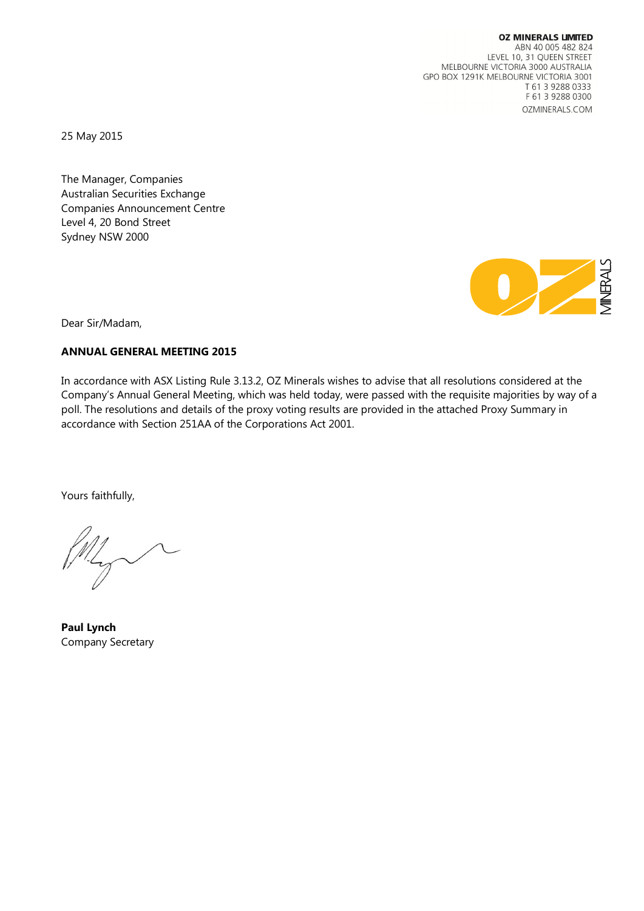**OZ MINERALS LIMITED** ABN 40 005 482 824 LEVEL 10, 31 QUEEN STREET MELBOURNE VICTORIA 3000 AUSTRALIA GPO BOX 1291K MELBOURNE VICTORIA 3001 T 61 3 9288 0333 F 61 3 9288 0300 OZMINERALS.COM

25 May 2015

The Manager, Companies Australian Securities Exchange Companies Announcement Centre Level 4, 20 Bond Street Sydney NSW 2000



Dear Sir/Madam,

## **ANNUAL GENERAL MEETING 2015**

In accordance with ASX Listing Rule 3.13.2, OZ Minerals wishes to advise that all resolutions considered at the Company's Annual General Meeting, which was held today, were passed with the requisite majorities by way of a poll. The resolutions and details of the proxy voting results are provided in the attached Proxy Summary in accordance with Section 251AA of the Corporations Act 2001.

Yours faithfully,

**Paul Lynch** Company Secretary